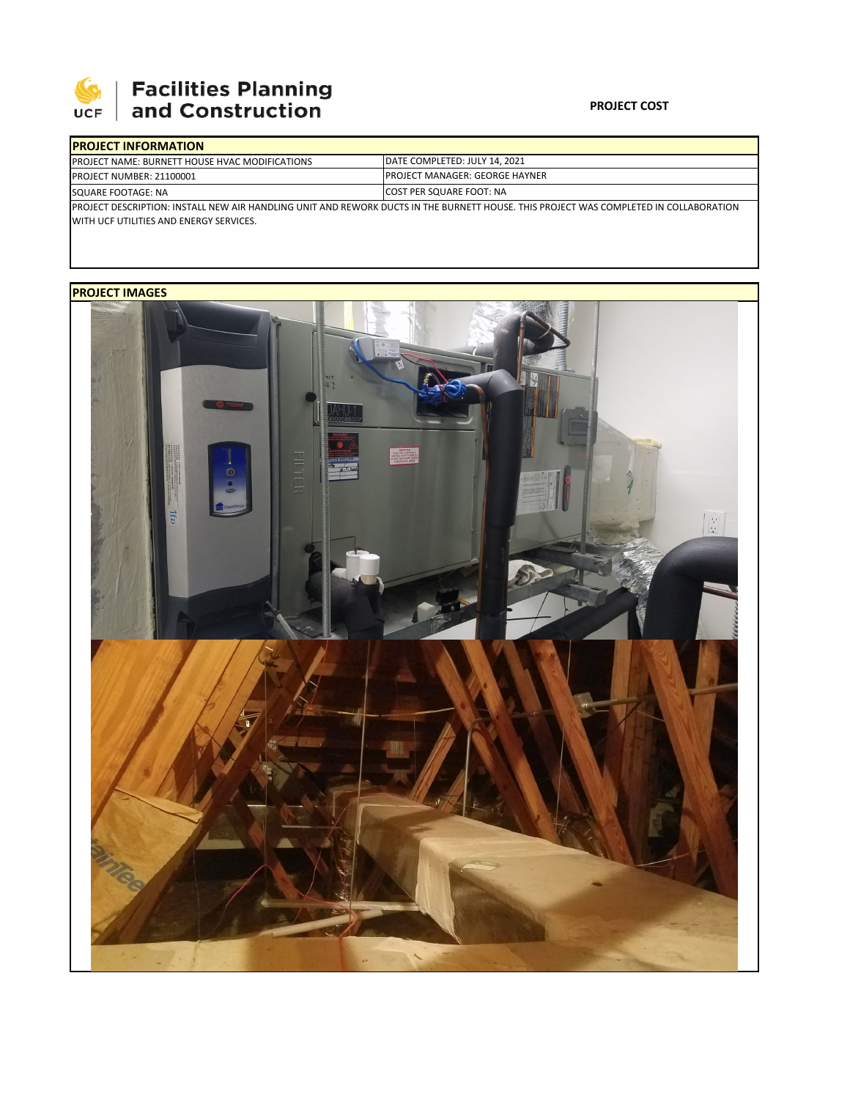

## **SEPTE AND Facilities Planning**<br>UCF and Construction

## **PROJECT COST**

| <b>IPROJECT INFORMATION</b>                                                                                                                                                       |                                        |  |  |
|-----------------------------------------------------------------------------------------------------------------------------------------------------------------------------------|----------------------------------------|--|--|
| <b>PROJECT NAME: BURNETT HOUSE HVAC MODIFICATIONS</b>                                                                                                                             | DATE COMPLETED: JULY 14, 2021          |  |  |
| <b>PROJECT NUMBER: 21100001</b>                                                                                                                                                   | <b>IPROJECT MANAGER: GEORGE HAYNER</b> |  |  |
| SQUARE FOOTAGE: NA                                                                                                                                                                | <b>ICOST PER SQUARE FOOT: NA</b>       |  |  |
| IPROJECT DESCRIPTION: INSTALL NEW AIR HANDLING UNIT AND REWORK DUCTS IN THE BURNETT HOUSE. THIS PROJECT WAS COMPLETED IN COLLABORATION<br>WITH UCF UTILITIES AND ENERGY SERVICES. |                                        |  |  |

**PROJECT IMAGES**